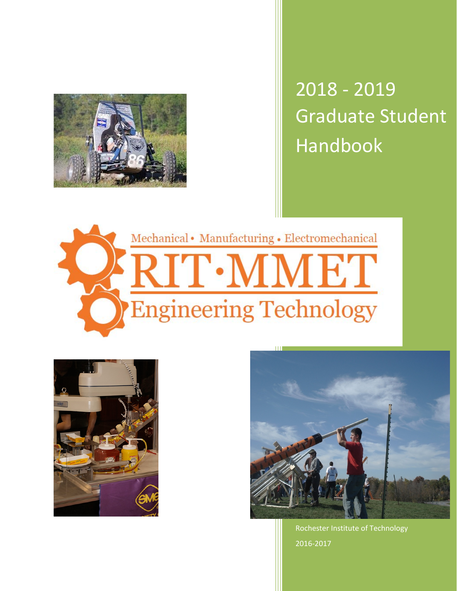

Graduate Student Handbook 2018 - 2019







Rochester Institute of Technology 2016-2017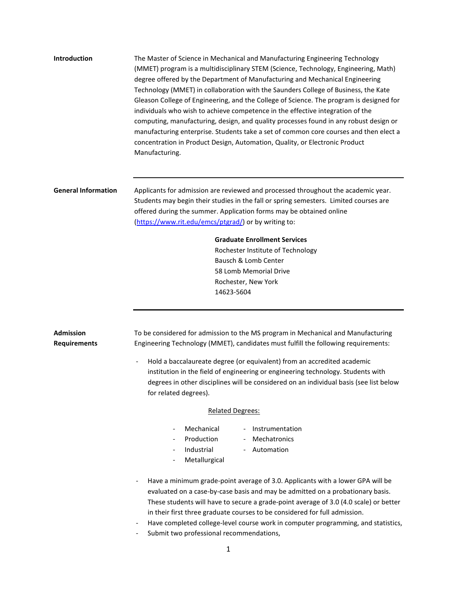| <b>Introduction</b>                     | The Master of Science in Mechanical and Manufacturing Engineering Technology<br>(MMET) program is a multidisciplinary STEM (Science, Technology, Engineering, Math)<br>degree offered by the Department of Manufacturing and Mechanical Engineering<br>Technology (MMET) in collaboration with the Saunders College of Business, the Kate<br>Gleason College of Engineering, and the College of Science. The program is designed for<br>individuals who wish to achieve competence in the effective integration of the<br>computing, manufacturing, design, and quality processes found in any robust design or<br>manufacturing enterprise. Students take a set of common core courses and then elect a<br>concentration in Product Design, Automation, Quality, or Electronic Product<br>Manufacturing. |
|-----------------------------------------|-----------------------------------------------------------------------------------------------------------------------------------------------------------------------------------------------------------------------------------------------------------------------------------------------------------------------------------------------------------------------------------------------------------------------------------------------------------------------------------------------------------------------------------------------------------------------------------------------------------------------------------------------------------------------------------------------------------------------------------------------------------------------------------------------------------|
| <b>General Information</b>              | Applicants for admission are reviewed and processed throughout the academic year.<br>Students may begin their studies in the fall or spring semesters. Limited courses are<br>offered during the summer. Application forms may be obtained online<br>(https://www.rit.edu/emcs/ptgrad/) or by writing to:<br><b>Graduate Enrollment Services</b><br>Rochester Institute of Technology<br>Bausch & Lomb Center<br>58 Lomb Memorial Drive<br>Rochester, New York<br>14623-5604                                                                                                                                                                                                                                                                                                                              |
|                                         |                                                                                                                                                                                                                                                                                                                                                                                                                                                                                                                                                                                                                                                                                                                                                                                                           |
| <b>Admission</b><br><b>Requirements</b> | To be considered for admission to the MS program in Mechanical and Manufacturing<br>Engineering Technology (MMET), candidates must fulfill the following requirements:<br>Hold a baccalaureate degree (or equivalent) from an accredited academic                                                                                                                                                                                                                                                                                                                                                                                                                                                                                                                                                         |
|                                         | institution in the field of engineering or engineering technology. Students with<br>degrees in other disciplines will be considered on an individual basis (see list below<br>for related degrees).                                                                                                                                                                                                                                                                                                                                                                                                                                                                                                                                                                                                       |
|                                         | <b>Related Degrees:</b>                                                                                                                                                                                                                                                                                                                                                                                                                                                                                                                                                                                                                                                                                                                                                                                   |
|                                         | Mechanical<br>Instrumentation<br>$\overline{\phantom{a}}$<br>$\overline{\phantom{a}}$<br>Production<br>Mechatronics<br>Industrial<br>Automation<br>$\overline{\phantom{a}}$<br>Metallurgical                                                                                                                                                                                                                                                                                                                                                                                                                                                                                                                                                                                                              |
|                                         | Have a minimum grade-point average of 3.0. Applicants with a lower GPA will be<br>evaluated on a case-by-case basis and may be admitted on a probationary basis.<br>These students will have to secure a grade-point average of 3.0 (4.0 scale) or better<br>in their first three graduate courses to be considered for full admission.<br>Have completed college-level course work in computer programming, and statistics,<br>Submit two professional recommendations,                                                                                                                                                                                                                                                                                                                                  |

1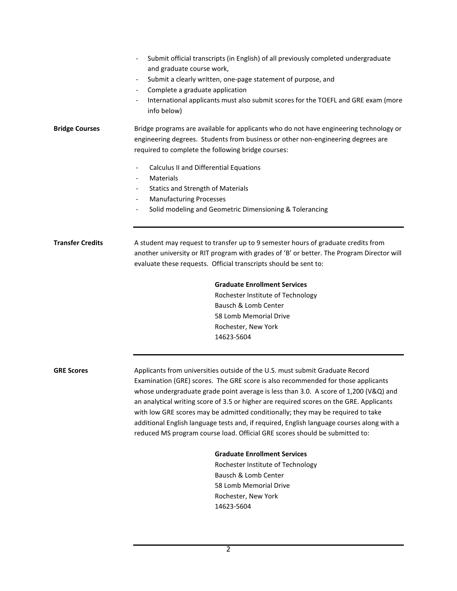|                         | Submit official transcripts (in English) of all previously completed undergraduate<br>and graduate course work,                                                                                                                  |
|-------------------------|----------------------------------------------------------------------------------------------------------------------------------------------------------------------------------------------------------------------------------|
|                         | Submit a clearly written, one-page statement of purpose, and                                                                                                                                                                     |
|                         | Complete a graduate application<br>$\overline{\phantom{a}}$                                                                                                                                                                      |
|                         | International applicants must also submit scores for the TOEFL and GRE exam (more<br>info below)                                                                                                                                 |
| <b>Bridge Courses</b>   | Bridge programs are available for applicants who do not have engineering technology or<br>engineering degrees. Students from business or other non-engineering degrees are<br>required to complete the following bridge courses: |
|                         | Calculus II and Differential Equations<br>$\overline{\phantom{a}}$<br>Materials<br>$\overline{\phantom{a}}$                                                                                                                      |
|                         | <b>Statics and Strength of Materials</b><br>$\overline{\phantom{a}}$                                                                                                                                                             |
|                         | <b>Manufacturing Processes</b><br>$\overline{\phantom{a}}$                                                                                                                                                                       |
|                         | Solid modeling and Geometric Dimensioning & Tolerancing                                                                                                                                                                          |
| <b>Transfer Credits</b> | A student may request to transfer up to 9 semester hours of graduate credits from                                                                                                                                                |
|                         | another university or RIT program with grades of 'B' or better. The Program Director will                                                                                                                                        |
|                         | evaluate these requests. Official transcripts should be sent to:                                                                                                                                                                 |
|                         | <b>Graduate Enrollment Services</b>                                                                                                                                                                                              |
|                         | Rochester Institute of Technology                                                                                                                                                                                                |
|                         | Bausch & Lomb Center<br>58 Lomb Memorial Drive                                                                                                                                                                                   |
|                         | Rochester, New York                                                                                                                                                                                                              |
|                         | 14623-5604                                                                                                                                                                                                                       |
| <b>GRE Scores</b>       | Applicants from universities outside of the U.S. must submit Graduate Record                                                                                                                                                     |
|                         | Examination (GRE) scores. The GRE score is also recommended for those applicants                                                                                                                                                 |
|                         | whose undergraduate grade point average is less than 3.0. A score of 1,200 (V&Q) and                                                                                                                                             |
|                         | an analytical writing score of 3.5 or higher are required scores on the GRE. Applicants                                                                                                                                          |
|                         | with low GRE scores may be admitted conditionally; they may be required to take                                                                                                                                                  |
|                         | additional English language tests and, if required, English language courses along with a                                                                                                                                        |
|                         | reduced MS program course load. Official GRE scores should be submitted to:                                                                                                                                                      |
|                         | <b>Graduate Enrollment Services</b>                                                                                                                                                                                              |
|                         | Rochester Institute of Technology                                                                                                                                                                                                |
|                         | Bausch & Lomb Center<br>58 Lomb Memorial Drive                                                                                                                                                                                   |
|                         |                                                                                                                                                                                                                                  |

Rochester, New York 14623-5604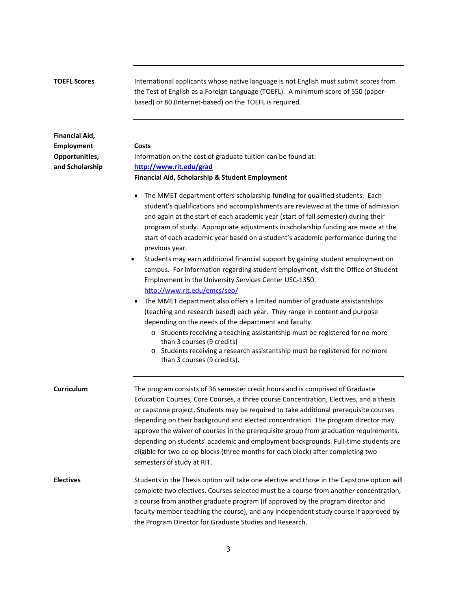| <b>TOEFL Scores</b>                        | International applicants whose native language is not English must submit scores from<br>the Test of English as a Foreign Language (TOEFL). A minimum score of 550 (paper-<br>based) or 80 (Internet-based) on the TOEFL is required.                                                                                                                                                                                                                                                                                                                                                                                                                                                                                                                                                                                                                                                                                                                                                                                                                                                                                                                                                            |
|--------------------------------------------|--------------------------------------------------------------------------------------------------------------------------------------------------------------------------------------------------------------------------------------------------------------------------------------------------------------------------------------------------------------------------------------------------------------------------------------------------------------------------------------------------------------------------------------------------------------------------------------------------------------------------------------------------------------------------------------------------------------------------------------------------------------------------------------------------------------------------------------------------------------------------------------------------------------------------------------------------------------------------------------------------------------------------------------------------------------------------------------------------------------------------------------------------------------------------------------------------|
| <b>Financial Aid,</b><br><b>Employment</b> | Costs                                                                                                                                                                                                                                                                                                                                                                                                                                                                                                                                                                                                                                                                                                                                                                                                                                                                                                                                                                                                                                                                                                                                                                                            |
| Opportunities,<br>and Scholarship          | Information on the cost of graduate tuition can be found at:<br>http://www.rit.edu/grad                                                                                                                                                                                                                                                                                                                                                                                                                                                                                                                                                                                                                                                                                                                                                                                                                                                                                                                                                                                                                                                                                                          |
|                                            | Financial Aid, Scholarship & Student Employment                                                                                                                                                                                                                                                                                                                                                                                                                                                                                                                                                                                                                                                                                                                                                                                                                                                                                                                                                                                                                                                                                                                                                  |
|                                            | The MMET department offers scholarship funding for qualified students. Each<br>$\bullet$<br>student's qualifications and accomplishments are reviewed at the time of admission<br>and again at the start of each academic year (start of fall semester) during their<br>program of study. Appropriate adjustments in scholarship funding are made at the<br>start of each academic year based on a student's academic performance during the<br>previous year.<br>Students may earn additional financial support by gaining student employment on<br>$\bullet$<br>campus. For information regarding student employment, visit the Office of Student<br>Employment in the University Services Center USC-1350.<br>http://www.rit.edu/emcs/seo/<br>The MMET department also offers a limited number of graduate assistantships<br>(teaching and research based) each year. They range in content and purpose<br>depending on the needs of the department and faculty.<br>o Students receiving a teaching assistantship must be registered for no more<br>than 3 courses (9 credits)<br>o Students receiving a research assistantship must be registered for no more<br>than 3 courses (9 credits). |
| Curriculum                                 | The program consists of 36 semester credit hours and is comprised of Graduate<br>Education Courses, Core Courses, a three course Concentration, Electives, and a thesis<br>or capstone project. Students may be required to take additional prerequisite courses<br>depending on their background and elected concentration. The program director may<br>approve the waiver of courses in the prerequisite group from graduation requirements,<br>depending on students' academic and employment backgrounds. Full-time students are<br>eligible for two co-op blocks (three months for each block) after completing two<br>semesters of study at RIT.                                                                                                                                                                                                                                                                                                                                                                                                                                                                                                                                           |
| <b>Electives</b>                           | Students in the Thesis option will take one elective and those in the Capstone option will<br>complete two electives. Courses selected must be a course from another concentration,<br>a course from another graduate program (if approved by the program director and<br>faculty member teaching the course), and any independent study course if approved by<br>the Program Director for Graduate Studies and Research.                                                                                                                                                                                                                                                                                                                                                                                                                                                                                                                                                                                                                                                                                                                                                                        |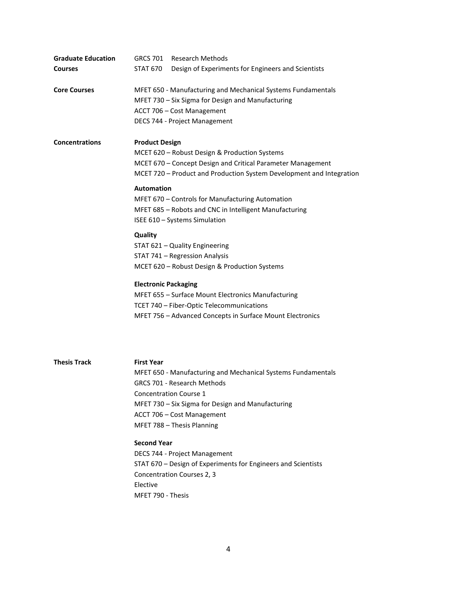| <b>Graduate Education</b> | GRCS 701 Research Methods                                                                                                                                                                                                                                                                                                                        |
|---------------------------|--------------------------------------------------------------------------------------------------------------------------------------------------------------------------------------------------------------------------------------------------------------------------------------------------------------------------------------------------|
| <b>Courses</b>            | STAT 670<br>Design of Experiments for Engineers and Scientists                                                                                                                                                                                                                                                                                   |
| <b>Core Courses</b>       | MFET 650 - Manufacturing and Mechanical Systems Fundamentals<br>MFET 730 - Six Sigma for Design and Manufacturing<br>ACCT 706 - Cost Management<br>DECS 744 - Project Management                                                                                                                                                                 |
| <b>Concentrations</b>     | <b>Product Design</b><br>MCET 620 - Robust Design & Production Systems<br>MCET 670 - Concept Design and Critical Parameter Management<br>MCET 720 - Product and Production System Development and Integration<br><b>Automation</b><br>MFET 670 - Controls for Manufacturing Automation<br>MFET 685 - Robots and CNC in Intelligent Manufacturing |
|                           | ISEE 610 - Systems Simulation                                                                                                                                                                                                                                                                                                                    |
|                           | Quality<br>STAT 621 - Quality Engineering<br>STAT 741 - Regression Analysis<br>MCET 620 - Robust Design & Production Systems                                                                                                                                                                                                                     |
|                           | <b>Electronic Packaging</b><br>MFET 655 - Surface Mount Electronics Manufacturing<br>TCET 740 - Fiber-Optic Telecommunications<br>MFET 756 - Advanced Concepts in Surface Mount Electronics                                                                                                                                                      |
| <b>Thesis Track</b>       | <b>First Year</b><br>MFET 650 - Manufacturing and Mechanical Systems Fundamentals<br><b>GRCS 701 - Research Methods</b><br><b>Concentration Course 1</b><br>MFET 730 - Six Sigma for Design and Manufacturing<br>ACCT 706 - Cost Management<br>MFET 788 - Thesis Planning                                                                        |
|                           | <b>Second Year</b><br>DECS 744 - Project Management<br>STAT 670 - Design of Experiments for Engineers and Scientists<br>Concentration Courses 2, 3<br>Elective<br>MFET 790 - Thesis                                                                                                                                                              |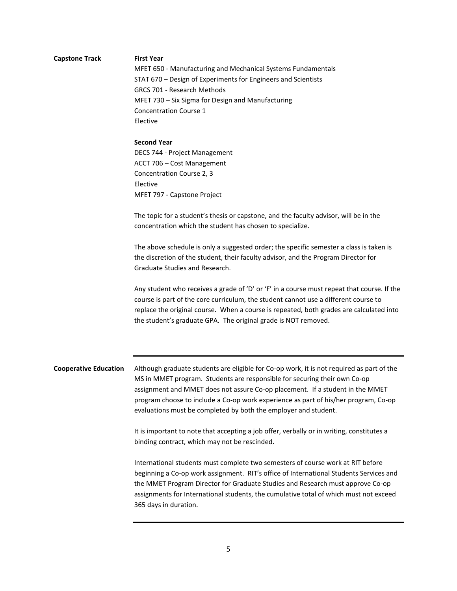## **Capstone Track First Year** MFET 650 - Manufacturing and Mechanical Systems Fundamentals STAT 670 – Design of Experiments for Engineers and Scientists GRCS 701 - Research Methods MFET 730 – Six Sigma for Design and Manufacturing Concentration Course 1 Elective

**Second Year** DECS 744 - Project Management ACCT 706 – Cost Management Concentration Course 2, 3 Elective MFET 797 - Capstone Project

The topic for a student's thesis or capstone, and the faculty advisor, will be in the concentration which the student has chosen to specialize.

The above schedule is only a suggested order; the specific semester a class is taken is the discretion of the student, their faculty advisor, and the Program Director for Graduate Studies and Research.

Any student who receives a grade of 'D' or 'F' in a course must repeat that course. If the course is part of the core curriculum, the student cannot use a different course to replace the original course. When a course is repeated, both grades are calculated into the student's graduate GPA. The original grade is NOT removed.

**Cooperative Education** Although graduate students are eligible for Co-op work, it is not required as part of the MS in MMET program. Students are responsible for securing their own Co-op assignment and MMET does not assure Co-op placement. If a student in the MMET program choose to include a Co-op work experience as part of his/her program, Co-op evaluations must be completed by both the employer and student.

> It is important to note that accepting a job offer, verbally or in writing, constitutes a binding contract, which may not be rescinded.

International students must complete two semesters of course work at RIT before beginning a Co-op work assignment. RIT's office of International Students Services and the MMET Program Director for Graduate Studies and Research must approve Co-op assignments for International students, the cumulative total of which must not exceed 365 days in duration.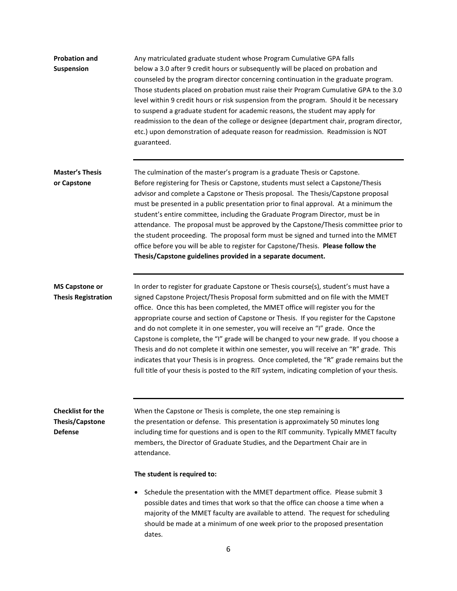| <b>Probation and</b><br><b>Suspension</b>                            | Any matriculated graduate student whose Program Cumulative GPA falls<br>below a 3.0 after 9 credit hours or subsequently will be placed on probation and<br>counseled by the program director concerning continuation in the graduate program.<br>Those students placed on probation must raise their Program Cumulative GPA to the 3.0<br>level within 9 credit hours or risk suspension from the program. Should it be necessary<br>to suspend a graduate student for academic reasons, the student may apply for<br>readmission to the dean of the college or designee (department chair, program director,<br>etc.) upon demonstration of adequate reason for readmission. Readmission is NOT<br>guaranteed.                                                                                                          |
|----------------------------------------------------------------------|---------------------------------------------------------------------------------------------------------------------------------------------------------------------------------------------------------------------------------------------------------------------------------------------------------------------------------------------------------------------------------------------------------------------------------------------------------------------------------------------------------------------------------------------------------------------------------------------------------------------------------------------------------------------------------------------------------------------------------------------------------------------------------------------------------------------------|
| <b>Master's Thesis</b><br>or Capstone                                | The culmination of the master's program is a graduate Thesis or Capstone.<br>Before registering for Thesis or Capstone, students must select a Capstone/Thesis<br>advisor and complete a Capstone or Thesis proposal. The Thesis/Capstone proposal<br>must be presented in a public presentation prior to final approval. At a minimum the<br>student's entire committee, including the Graduate Program Director, must be in<br>attendance. The proposal must be approved by the Capstone/Thesis committee prior to<br>the student proceeding. The proposal form must be signed and turned into the MMET<br>office before you will be able to register for Capstone/Thesis. Please follow the<br>Thesis/Capstone guidelines provided in a separate document.                                                             |
| <b>MS Capstone or</b><br><b>Thesis Registration</b>                  | In order to register for graduate Capstone or Thesis course(s), student's must have a<br>signed Capstone Project/Thesis Proposal form submitted and on file with the MMET<br>office. Once this has been completed, the MMET office will register you for the<br>appropriate course and section of Capstone or Thesis. If you register for the Capstone<br>and do not complete it in one semester, you will receive an "I" grade. Once the<br>Capstone is complete, the "I" grade will be changed to your new grade. If you choose a<br>Thesis and do not complete it within one semester, you will receive an "R" grade. This<br>indicates that your Thesis is in progress. Once completed, the "R" grade remains but the<br>full title of your thesis is posted to the RIT system, indicating completion of your thesis. |
| <b>Checklist for the</b><br><b>Thesis/Capstone</b><br><b>Defense</b> | When the Capstone or Thesis is complete, the one step remaining is<br>the presentation or defense. This presentation is approximately 50 minutes long<br>including time for questions and is open to the RIT community. Typically MMET faculty<br>members, the Director of Graduate Studies, and the Department Chair are in<br>attendance.<br>The student is required to:<br>Schedule the presentation with the MMET department office. Please submit 3<br>possible dates and times that work so that the office can choose a time when a<br>majority of the MMET faculty are available to attend. The request for scheduling<br>should be made at a minimum of one week prior to the proposed presentation<br>dates.                                                                                                    |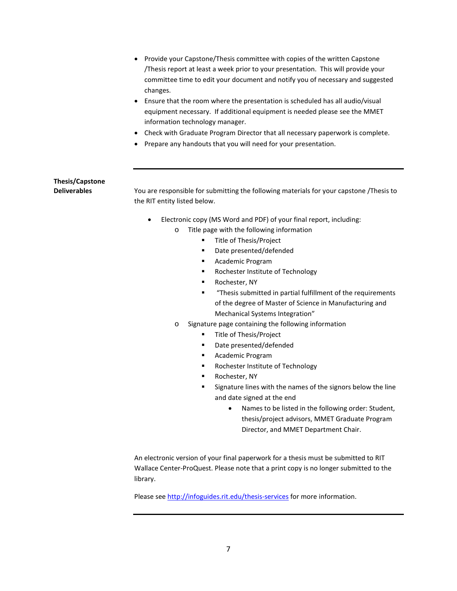- Provide your Capstone/Thesis committee with copies of the written Capstone /Thesis report at least a week prior to your presentation. This will provide your committee time to edit your document and notify you of necessary and suggested changes.
- Ensure that the room where the presentation is scheduled has all audio/visual equipment necessary. If additional equipment is needed please see the MMET information technology manager.
- Check with Graduate Program Director that all necessary paperwork is complete.
- Prepare any handouts that you will need for your presentation.

## **Thesis/Capstone**

**Deliverables** You are responsible for submitting the following materials for your capstone /Thesis to the RIT entity listed below.

- Electronic copy (MS Word and PDF) of your final report, including:
	- o Title page with the following information
		- **Title of Thesis/Project**
		- Date presented/defended
		- Academic Program
		- **Rochester Institute of Technology**
		- **Rochester, NY**
		- "Thesis submitted in partial fulfillment of the requirements of the degree of Master of Science in Manufacturing and Mechanical Systems Integration"
	- o Signature page containing the following information
		- Title of Thesis/Project
		- Date presented/defended
		- **Academic Program**
		- **Rochester Institute of Technology**
		- **Rochester, NY**
		- Signature lines with the names of the signors below the line and date signed at the end
			- Names to be listed in the following order: Student, thesis/project advisors, MMET Graduate Program Director, and MMET Department Chair.

An electronic version of your final paperwork for a thesis must be submitted to RIT Wallace Center-ProQuest. Please note that a print copy is no longer submitted to the library.

Please see <http://infoguides.rit.edu/thesis-services> for more information.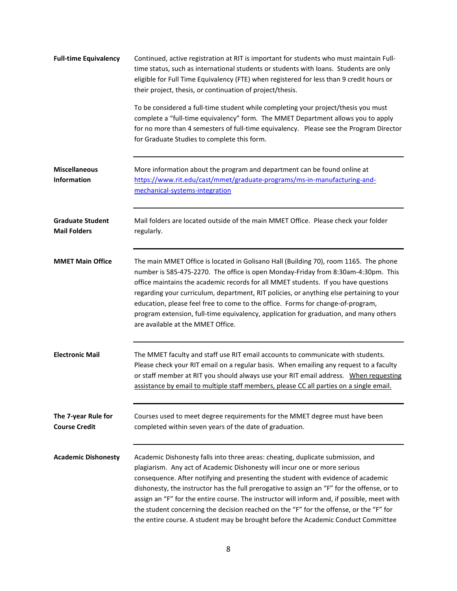| <b>Full-time Equivalency</b>                   | Continued, active registration at RIT is important for students who must maintain Full-<br>time status, such as international students or students with loans. Students are only<br>eligible for Full Time Equivalency (FTE) when registered for less than 9 credit hours or<br>their project, thesis, or continuation of project/thesis.                                                                                                                                                                                                                                                                                      |
|------------------------------------------------|--------------------------------------------------------------------------------------------------------------------------------------------------------------------------------------------------------------------------------------------------------------------------------------------------------------------------------------------------------------------------------------------------------------------------------------------------------------------------------------------------------------------------------------------------------------------------------------------------------------------------------|
|                                                | To be considered a full-time student while completing your project/thesis you must<br>complete a "full-time equivalency" form. The MMET Department allows you to apply<br>for no more than 4 semesters of full-time equivalency. Please see the Program Director<br>for Graduate Studies to complete this form.                                                                                                                                                                                                                                                                                                                |
| <b>Miscellaneous</b><br><b>Information</b>     | More information about the program and department can be found online at<br>https://www.rit.edu/cast/mmet/graduate-programs/ms-in-manufacturing-and-<br>mechanical-systems-integration                                                                                                                                                                                                                                                                                                                                                                                                                                         |
| <b>Graduate Student</b><br><b>Mail Folders</b> | Mail folders are located outside of the main MMET Office. Please check your folder<br>regularly.                                                                                                                                                                                                                                                                                                                                                                                                                                                                                                                               |
| <b>MMET Main Office</b>                        | The main MMET Office is located in Golisano Hall (Building 70), room 1165. The phone<br>number is 585-475-2270. The office is open Monday-Friday from 8:30am-4:30pm. This<br>office maintains the academic records for all MMET students. If you have questions<br>regarding your curriculum, department, RIT policies, or anything else pertaining to your<br>education, please feel free to come to the office. Forms for change-of-program,<br>program extension, full-time equivalency, application for graduation, and many others<br>are available at the MMET Office.                                                   |
| <b>Electronic Mail</b>                         | The MMET faculty and staff use RIT email accounts to communicate with students.<br>Please check your RIT email on a regular basis. When emailing any request to a faculty<br>or staff member at RIT you should always use your RIT email address. When requesting<br>assistance by email to multiple staff members, please CC all parties on a single email.                                                                                                                                                                                                                                                                   |
| The 7-year Rule for<br><b>Course Credit</b>    | Courses used to meet degree requirements for the MMET degree must have been<br>completed within seven years of the date of graduation.                                                                                                                                                                                                                                                                                                                                                                                                                                                                                         |
| <b>Academic Dishonesty</b>                     | Academic Dishonesty falls into three areas: cheating, duplicate submission, and<br>plagiarism. Any act of Academic Dishonesty will incur one or more serious<br>consequence. After notifying and presenting the student with evidence of academic<br>dishonesty, the instructor has the full prerogative to assign an "F" for the offense, or to<br>assign an "F" for the entire course. The instructor will inform and, if possible, meet with<br>the student concerning the decision reached on the "F" for the offense, or the "F" for<br>the entire course. A student may be brought before the Academic Conduct Committee |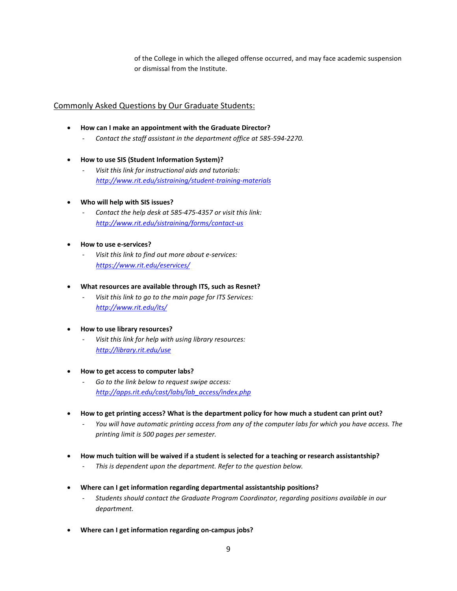of the College in which the alleged offense occurred, and may face academic suspension or dismissal from the Institute.

## Commonly Asked Questions by Our Graduate Students:

- **How can I make an appointment with the Graduate Director?**
	- *Contact the staff assistant in the department office at 585-594-2270.*
- **How to use SIS (Student Information System)?**
	- *Visit this link for instructional aids and tutorials: <http://www.rit.edu/sistraining/student-training-materials>*
- **Who will help with SIS issues?**
	- Contact the help desk at 585-475-4357 or visit this link: *<http://www.rit.edu/sistraining/forms/contact-us>*
- **How to use e-services?**
	- *Visit this link to find out more about e-services: <https://www.rit.edu/eservices/>*
- **What resources are available through ITS, such as Resnet?**
	- *Visit this link to go to the main page for ITS Services: <http://www.rit.edu/its/>*
- **How to use library resources?**
	- Visit this link for help with using library resources: *<http://library.rit.edu/use>*
- **How to get access to computer labs?**
	- *Go to the link below to request swipe access: [http://apps.rit.edu/cast/labs/lab\\_access/index.php](http://apps.rit.edu/cast/labs/lab_access/index.php)*
- **How to get printing access? What is the department policy for how much a student can print out?**
	- You will have automatic printing access from any of the computer labs for which you have access. The *printing limit is 500 pages per semester.*
- **How much tuition will be waived if a student is selected for a teaching or research assistantship?** - *This is dependent upon the department. Refer to the question below.*
- **Where can I get information regarding departmental assistantship positions?**
	- *Students should contact the Graduate Program Coordinator, regarding positions available in our department.*
- **Where can I get information regarding on-campus jobs?**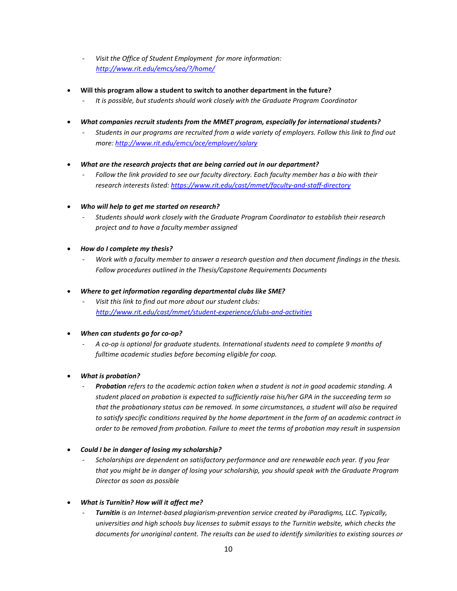- *Visit the Office of Student Employment for more information: <http://www.rit.edu/emcs/seo/?/home/>*
- **Will this program allow a student to switch to another department in the future?**
	- *It is possible, but students should work closely with the Graduate Program Coordinator*
- *What companies recruit students from the MMET program, especially for international students?*
	- *Students in our programs are recruited from a wide variety of employers. Follow this link to find out more: <http://www.rit.edu/emcs/oce/employer/salary>*
- *What are the research projects that are being carried out in our department?*
	- *Follow the link provided to see our faculty directory. Each faculty member has a bio with their research interests listed:<https://www.rit.edu/cast/mmet/faculty-and-staff-directory>*
- *Who will help to get me started on research?*
	- *Students should work closely with the Graduate Program Coordinator to establish their research project and to have a faculty member assigned*
- *How do I complete my thesis?*
	- *Work with a faculty member to answer a research question and then document findings in the thesis. Follow procedures outlined in the Thesis/Capstone Requirements Documents*
- *Where to get information regarding departmental clubs like SME?*
	- Visit this link to find out more about our student clubs:  *<http://www.rit.edu/cast/mmet/student-experience/clubs-and-activities>*
- *When can students go for co-op?* 
	- *A co-op is optional for graduate students. International students need to complete 9 months of fulltime academic studies before becoming eligible for coop.*
- *What is probation?*
	- *Probation refers to the academic action taken when a student is not in good academic standing. A student placed on probation is expected to sufficiently raise his/her GPA in the succeeding term so that the probationary status can be removed. In some circumstances, a student will also be required to satisfy specific conditions required by the home department in the form of an academic contract in order to be removed from probation. Failure to meet the terms of probation may result in suspension*
- *Could I be in danger of losing my scholarship?*
	- Scholarships are dependent on satisfactory performance and are renewable each year. If you fear *that you might be in danger of losing your scholarship, you should speak with the Graduate Program Director as soon as possible*
- *What is Turnitin? How will it affect me?*
	- *Turnitin is an Internet-based plagiarism-prevention service created by iParadigms, LLC. Typically, universities and high schools buy licenses to submit essays to the Turnitin website, which checks the documents for unoriginal content. The results can be used to identify similarities to existing sources or*